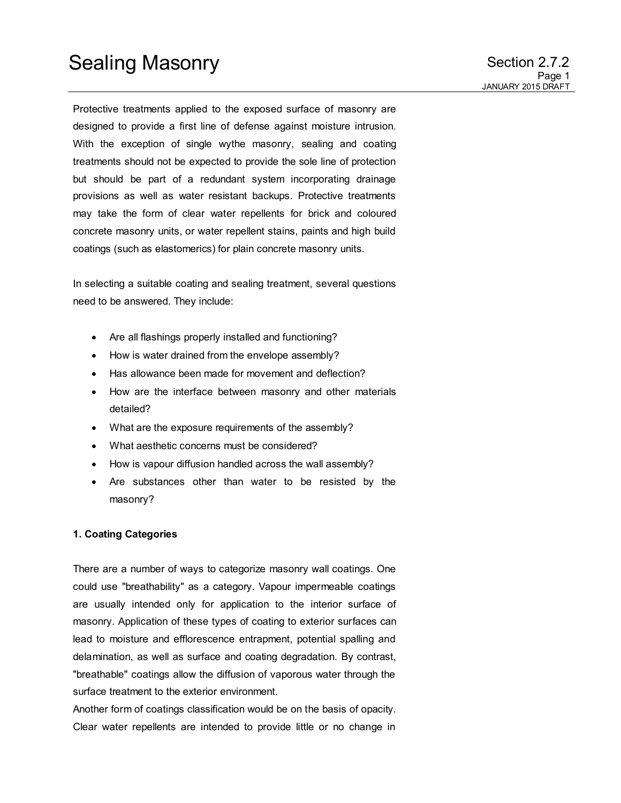Protective treatments applied to the exposed surface of masonry are designed to provide a first line of defense against moisture intrusion. With the exception of single wythe masonry, sealing and coating treatments should not be expected to provide the sole line of protection but should be part of a redundant system incorporating drainage provisions as well as water resistant backups. Protective treatments may take the form of clear water repellents for brick and coloured concrete masonry units, or water repellent stains, paints and high build coatings (such as elastomerics) for plain concrete masonry units.

In selecting a suitable coating and sealing treatment, several questions need to be answered. They include:

- Are all flashings properly installed and functioning?
- How is water drained from the envelope assembly?
- Has allowance been made for movement and deflection?
- How are the interface between masonry and other materials detailed?
- What are the exposure requirements of the assembly?
- What aesthetic concerns must be considered?
- How is vapour diffusion handled across the wall assembly?
- Are substances other than water to be resisted by the masonry?

### **1. Coating Categories**

There are a number of ways to categorize masonry wall coatings. One could use "breathability" as a category. Vapour impermeable coatings are usually intended only for application to the interior surface of masonry. Application of these types of coating to exterior surfaces can lead to moisture and efflorescence entrapment, potential spalling and delamination, as well as surface and coating degradation. By contrast, "breathable" coatings allow the diffusion of vaporous water through the surface treatment to the exterior environment.

Another form of coatings classification would be on the basis of opacity. Clear water repellents are intended to provide little or no change in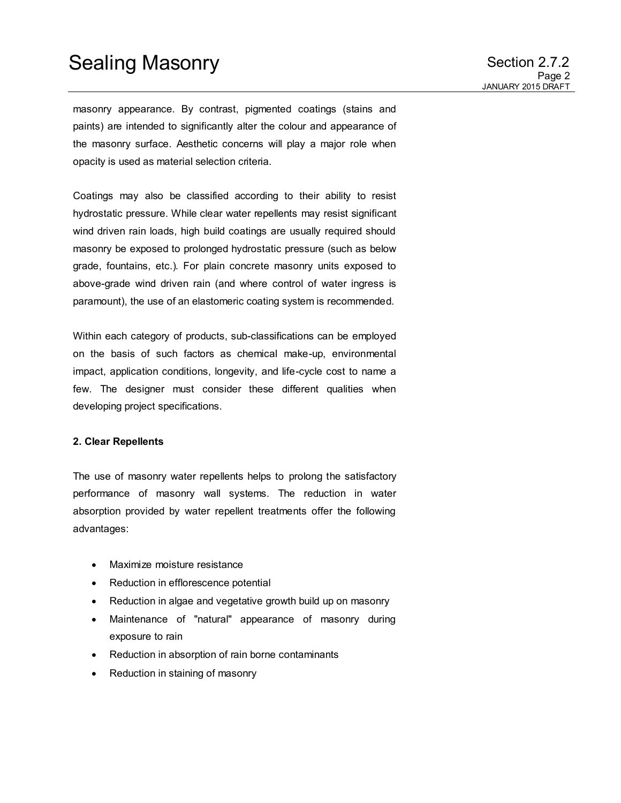# Sealing Masonry **Section 2.7.2**

masonry appearance. By contrast, pigmented coatings (stains and paints) are intended to significantly alter the colour and appearance of the masonry surface. Aesthetic concerns will play a major role when opacity is used as material selection criteria.

Coatings may also be classified according to their ability to resist hydrostatic pressure. While clear water repellents may resist significant wind driven rain loads, high build coatings are usually required should masonry be exposed to prolonged hydrostatic pressure (such as below grade, fountains, etc.). For plain concrete masonry units exposed to above-grade wind driven rain (and where control of water ingress is paramount), the use of an elastomeric coating system is recommended.

Within each category of products, sub-classifications can be employed on the basis of such factors as chemical make-up, environmental impact, application conditions, longevity, and life-cycle cost to name a few. The designer must consider these different qualities when developing project specifications.

### **2. Clear Repellents**

The use of masonry water repellents helps to prolong the satisfactory performance of masonry wall systems. The reduction in water absorption provided by water repellent treatments offer the following advantages:

- Maximize moisture resistance
- Reduction in efflorescence potential
- Reduction in algae and vegetative growth build up on masonry
- Maintenance of "natural" appearance of masonry during exposure to rain
- Reduction in absorption of rain borne contaminants
- Reduction in staining of masonry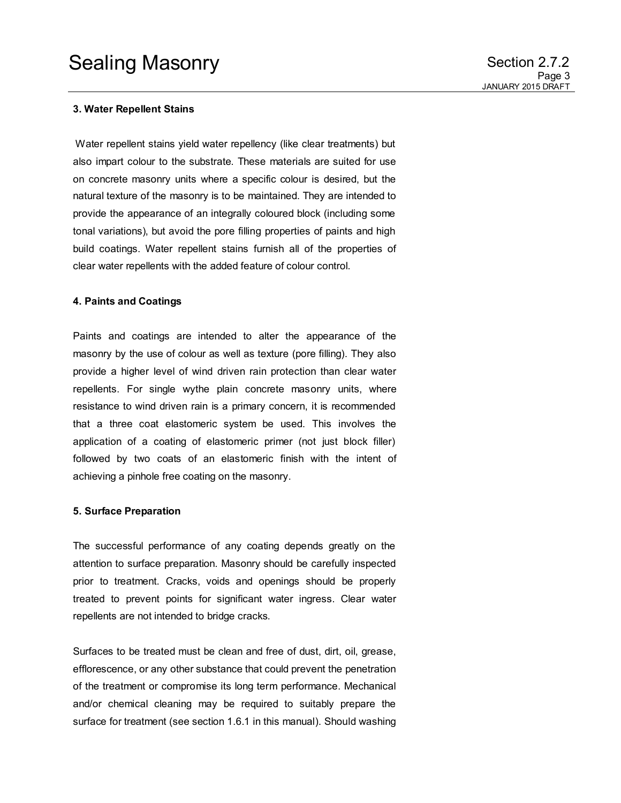#### **3. Water Repellent Stains**

 Water repellent stains yield water repellency (like clear treatments) but also impart colour to the substrate. These materials are suited for use on concrete masonry units where a specific colour is desired, but the natural texture of the masonry is to be maintained. They are intended to provide the appearance of an integrally coloured block (including some tonal variations), but avoid the pore filling properties of paints and high build coatings. Water repellent stains furnish all of the properties of clear water repellents with the added feature of colour control.

#### **4. Paints and Coatings**

Paints and coatings are intended to alter the appearance of the masonry by the use of colour as well as texture (pore filling). They also provide a higher level of wind driven rain protection than clear water repellents. For single wythe plain concrete masonry units, where resistance to wind driven rain is a primary concern, it is recommended that a three coat elastomeric system be used. This involves the application of a coating of elastomeric primer (not just block filler) followed by two coats of an elastomeric finish with the intent of achieving a pinhole free coating on the masonry.

#### **5. Surface Preparation**

The successful performance of any coating depends greatly on the attention to surface preparation. Masonry should be carefully inspected prior to treatment. Cracks, voids and openings should be properly treated to prevent points for significant water ingress. Clear water repellents are not intended to bridge cracks.

Surfaces to be treated must be clean and free of dust, dirt, oil, grease, efflorescence, or any other substance that could prevent the penetration of the treatment or compromise its long term performance. Mechanical and/or chemical cleaning may be required to suitably prepare the surface for treatment (see section 1.6.1 in this manual). Should washing